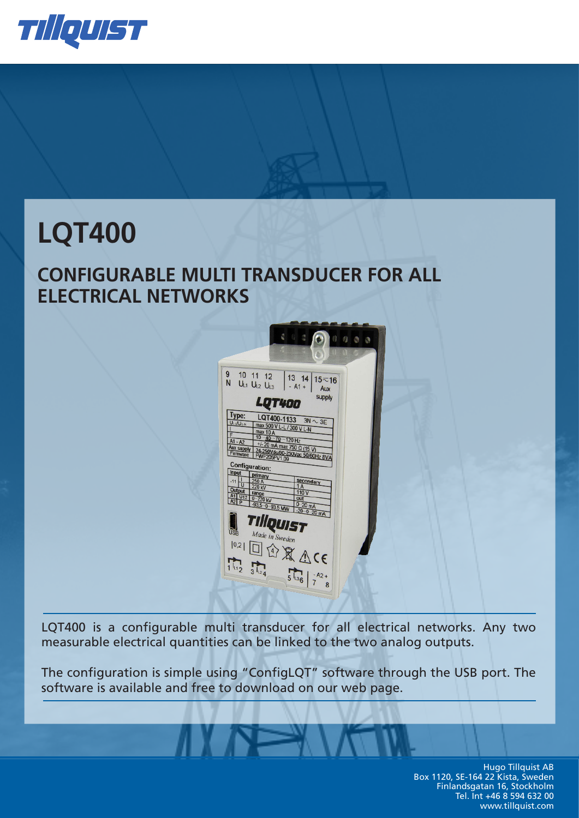

# **LQT400**

# **CONFIGURABLE MULTI TRANSDUCER FOR ALL ELECTRICAL NETWORKS**



LQT400 is a configurable multi transducer for all electrical networks. Any two measurable electrical quantities can be linked to the two analog outputs.

The configuration is simple using "ConfigLQT" software through the USB port. The software is available and free to download on our web page.

> Hugo Tillquist AB Hugo Tillquist AB Box 1120, SE-164 22 Kista, Sweden Box 1120, SE-164 22 Kista, Sweden Finlandsgatan 16, Stockholm Finlandsgatan 16, Stockholm Tel. Int +46 8 594 632 00 Tel. Int +46 8 594 632 00 www.tillquist.com www.tillquist.com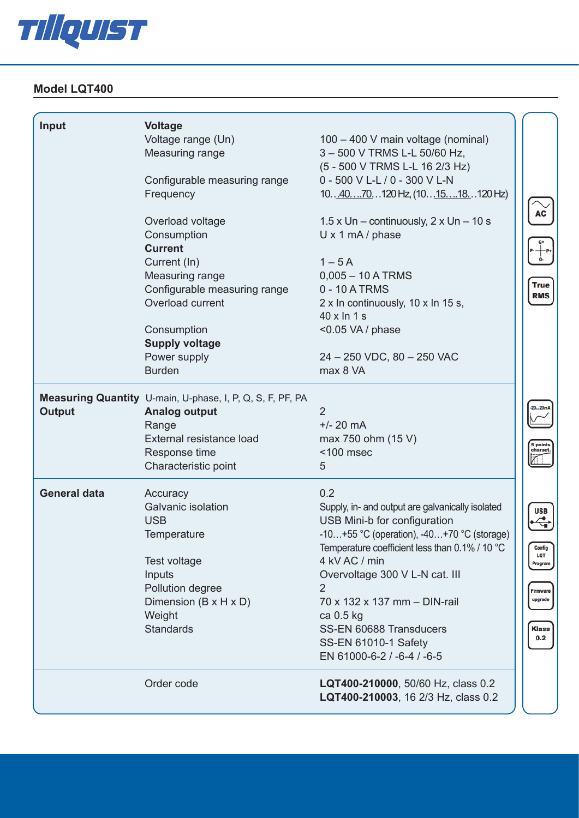

## **Model LQT400** Measuring range 0 – 500 V TRMS **Input Voltage** Voltage range (Un) 100 – 400 V main voltage (nominal)

 $S_{\rm eff}$  is the state of  $S_{\rm eff}$  in the state of  $S_{\rm eff}$  is the state of  $S_{\rm eff}$ 

**International Control of the Control of the Control of the Control of the Control of the Control of the Control** 

**Model LTQ60**

**Model LTQ60**

| Input               | <b>Voltage</b>                                            |                                                   |
|---------------------|-----------------------------------------------------------|---------------------------------------------------|
|                     | Voltage range (Un)                                        | 100 - 400 V main voltage (nominal)                |
|                     | Measuring range                                           | 3-500 V TRMS L-L 50/60 Hz,                        |
|                     |                                                           | (5 - 500 V TRMS L-L 16 2/3 Hz)                    |
|                     | Configurable measuring range                              | 0 - 500 V L-L / 0 - 300 V L-N                     |
|                     | Frequency                                                 | 10. 40. 70. 120 Hz, (10. 15. 18. 120 Hz)          |
|                     | Overload voltage                                          | 1.5 x Un – continuously, $2 \times Un - 10 s$     |
|                     | Consumption                                               | $U \times 1$ mA / phase                           |
|                     | <b>Current</b>                                            |                                                   |
|                     | Current (In)                                              | $1-5A$                                            |
|                     | Measuring range                                           | $0,005 - 10$ A TRMS                               |
|                     | Configurable measuring range                              | 0 - 10 A TRMS                                     |
|                     | Overload current                                          | 2 x In continuously, 10 x In 15 s,                |
|                     |                                                           | 40 x ln 1 s                                       |
|                     | Consumption                                               | $<$ 0.05 VA / phase                               |
|                     | <b>Supply voltage</b>                                     |                                                   |
|                     | Power supply                                              | 24 - 250 VDC, 80 - 250 VAC                        |
|                     | <b>Burden</b>                                             | max 8 VA                                          |
|                     | Measuring Quantity U-main, U-phase, I, P, Q, S, F, PF, PA |                                                   |
| <b>Output</b>       | <b>Analog output</b>                                      | $\overline{2}$                                    |
|                     | Range                                                     | $+/- 20$ mA                                       |
|                     | External resistance load                                  | max 750 ohm (15 V)                                |
|                     | Response time                                             | $<$ 100 msec                                      |
|                     | Characteristic point                                      | 5                                                 |
| <b>General data</b> | Accuracy                                                  | 0.2                                               |
|                     | Galvanic isolation                                        | Supply, in- and output are galvanically isolated  |
|                     | <b>USB</b>                                                | USB Mini-b for configuration                      |
|                     | Temperature                                               | $-10+55$ °C (operation), $-40+70$ °C (storage)    |
|                     |                                                           | Temperature coefficient less than $0.1\%$ / 10 °C |
|                     | Test voltage                                              | 4 kV AC / min                                     |
|                     | Inputs                                                    | Overvoltage 300 V L-N cat. III                    |
|                     | Pollution degree                                          | 2                                                 |
|                     | Dimension (B x H x D)                                     | 70 x 132 x 137 mm - DIN-rail                      |
|                     | Weight                                                    | ca 0.5 kg                                         |
|                     | <b>Standards</b>                                          | SS-EN 60688 Transducers                           |
|                     |                                                           | SS-EN 61010-1 Safety                              |
|                     |                                                           | EN 61000-6-2 / -6-4 / -6-5                        |
|                     | Order code                                                | LQT400-210000, 50/60 Hz, class 0.2                |
|                     |                                                           | LQT400-210003, 16 2/3 Hz, class 0.2               |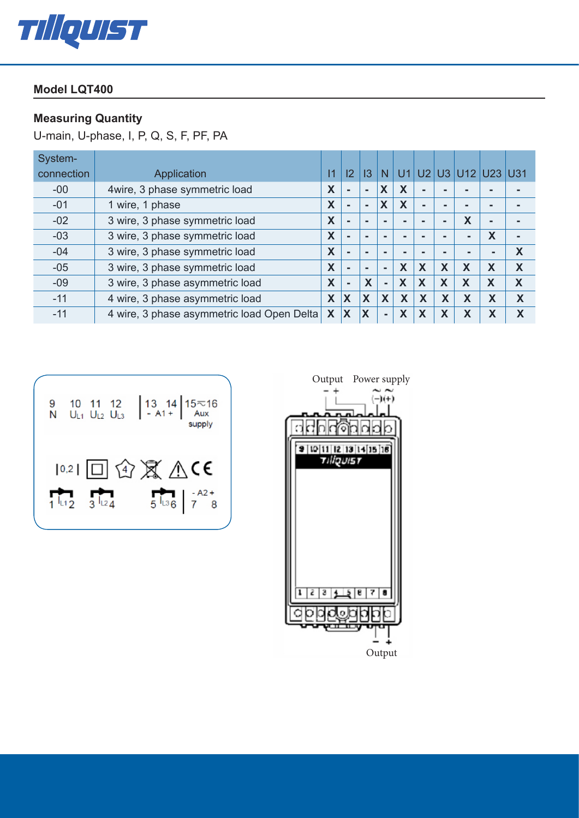

### **Model LQT400 Model LQT400**

#### **Measuring Quantity**

U-main, U-phase, I, P, Q, S, F, PF, PA

| System-    |                                            |   |                |                         |                          |                |                         |                |                 |                |            |
|------------|--------------------------------------------|---|----------------|-------------------------|--------------------------|----------------|-------------------------|----------------|-----------------|----------------|------------|
| connection | Application                                |   | 2              | 13                      | N                        | U <sub>1</sub> |                         |                | $U2$ U3 U12 U23 |                | <b>U31</b> |
| $-00$      | 4wire, 3 phase symmetric load              |   | $\blacksquare$ | $\blacksquare$          | X                        | X              | $\blacksquare$          |                |                 |                |            |
| $-01$      | 1 wire, 1 phase                            |   | $\blacksquare$ | $\blacksquare$          | X                        | X              | $\blacksquare$          | -              | -               | -              |            |
| $-02$      | 3 wire, 3 phase symmetric load             | X | $\blacksquare$ | $\blacksquare$          | $\blacksquare$           |                | -                       | $\blacksquare$ | X               | $\blacksquare$ |            |
| $-03$      | 3 wire, 3 phase symmetric load             | X | ۰.             |                         | $\overline{\phantom{a}}$ |                |                         |                |                 | X              |            |
| $-04$      | 3 wire, 3 phase symmetric load             | X | $\blacksquare$ |                         | $\blacksquare$           |                |                         |                |                 | $\blacksquare$ | X          |
| $-05$      | 3 wire, 3 phase symmetric load             | X | $\blacksquare$ | $\blacksquare$          | $\blacksquare$           | X              | X                       | X              | X               | X              | X          |
| $-09$      | 3 wire, 3 phase asymmetric load            | X | ۰              | X                       | $\blacksquare$           | X              | X                       | X              | X               | X              | X          |
| $-11$      | 4 wire, 3 phase asymmetric load            | X | X              | X                       | X                        | X              | $\overline{\mathsf{X}}$ | X              | X               | X              | X          |
| $-11$      | 4 wire, 3 phase asymmetric load Open Delta | X | X              | $\overline{\mathsf{X}}$ | $\blacksquare$           | X              | X                       | X              | X               | X              | X          |